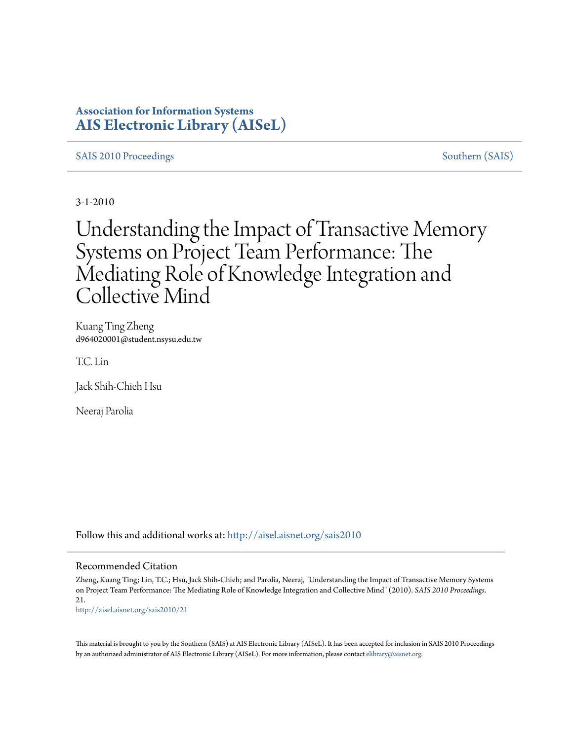## **Association for Information Systems [AIS Electronic Library \(AISeL\)](http://aisel.aisnet.org?utm_source=aisel.aisnet.org%2Fsais2010%2F21&utm_medium=PDF&utm_campaign=PDFCoverPages)**

#### [SAIS 2010 Proceedings](http://aisel.aisnet.org/sais2010?utm_source=aisel.aisnet.org%2Fsais2010%2F21&utm_medium=PDF&utm_campaign=PDFCoverPages) [Southern \(SAIS\)](http://aisel.aisnet.org/sais?utm_source=aisel.aisnet.org%2Fsais2010%2F21&utm_medium=PDF&utm_campaign=PDFCoverPages)

3-1-2010

# Understanding the Impact of Transactive Memory Systems on Project Team Performance: The Mediating Role of Knowledge Integration and Collective Mind

Kuang Ting Zheng d964020001@student.nsysu.edu.tw

T.C. Lin

Jack Shih-Chieh Hsu

Neeraj Parolia

Follow this and additional works at: [http://aisel.aisnet.org/sais2010](http://aisel.aisnet.org/sais2010?utm_source=aisel.aisnet.org%2Fsais2010%2F21&utm_medium=PDF&utm_campaign=PDFCoverPages)

#### Recommended Citation

Zheng, Kuang Ting; Lin, T.C.; Hsu, Jack Shih-Chieh; and Parolia, Neeraj, "Understanding the Impact of Transactive Memory Systems on Project Team Performance: The Mediating Role of Knowledge Integration and Collective Mind" (2010). *SAIS 2010 Proceedings*. 21. [http://aisel.aisnet.org/sais2010/21](http://aisel.aisnet.org/sais2010/21?utm_source=aisel.aisnet.org%2Fsais2010%2F21&utm_medium=PDF&utm_campaign=PDFCoverPages)

This material is brought to you by the Southern (SAIS) at AIS Electronic Library (AISeL). It has been accepted for inclusion in SAIS 2010 Proceedings by an authorized administrator of AIS Electronic Library (AISeL). For more information, please contact [elibrary@aisnet.org](mailto:elibrary@aisnet.org%3E).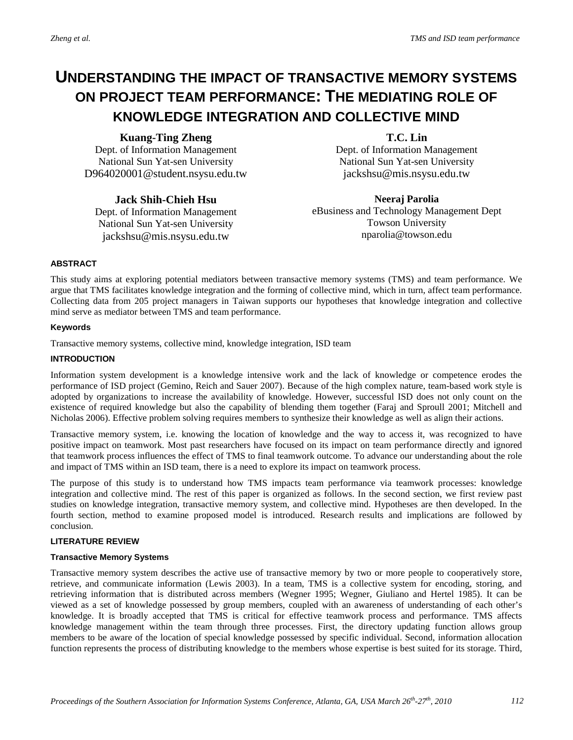# **UNDERSTANDING THE IMPACT OF TRANSACTIVE MEMORY SYSTEMS ON PROJECT TEAM PERFORMANCE: THE MEDIATING ROLE OF KNOWLEDGE INTEGRATION AND COLLECTIVE MIND**

#### **Kuang-Ting Zheng**

Dept. of Information Management National Sun Yat-sen University D964020001@student.nsysu.edu.tw

### **T.C. Lin**

Dept. of Information Management National Sun Yat-sen University jackshsu@mis.nsysu.edu.tw

#### **Jack Shih-Chieh Hsu**

Dept. of Information Management National Sun Yat-sen University [jackshsu@mis.nsysu.edu.tw](mailto:jackshsu@mis.nsysu.edu.tw)

#### **Neeraj Parolia**

eBusiness and Technology Management Dept Towson University nparolia@towson.edu

#### **ABSTRACT**

This study aims at exploring potential mediators between transactive memory systems (TMS) and team performance. We argue that TMS facilitates knowledge integration and the forming of collective mind, which in turn, affect team performance. Collecting data from 205 project managers in Taiwan supports our hypotheses that knowledge integration and collective mind serve as mediator between TMS and team performance.

#### **Keywords**

Transactive memory systems, collective mind, knowledge integration, ISD team

#### **INTRODUCTION**

Information system development is a knowledge intensive work and the lack of knowledge or competence erodes the performance of ISD project (Gemino, Reich and Sauer 2007). Because of the high complex nature, team-based work style is adopted by organizations to increase the availability of knowledge. However, successful ISD does not only count on the existence of required knowledge but also the capability of blending them together (Faraj and Sproull 2001; Mitchell and Nicholas 2006). Effective problem solving requires members to synthesize their knowledge as well as align their actions.

Transactive memory system, i.e. knowing the location of knowledge and the way to access it, was recognized to have positive impact on teamwork. Most past researchers have focused on its impact on team performance directly and ignored that teamwork process influences the effect of TMS to final teamwork outcome. To advance our understanding about the role and impact of TMS within an ISD team, there is a need to explore its impact on teamwork process.

The purpose of this study is to understand how TMS impacts team performance via teamwork processes: knowledge integration and collective mind. The rest of this paper is organized as follows. In the second section, we first review past studies on knowledge integration, transactive memory system, and collective mind. Hypotheses are then developed. In the fourth section, method to examine proposed model is introduced. Research results and implications are followed by conclusion.

#### **LITERATURE REVIEW**

#### **Transactive Memory Systems**

Transactive memory system describes the active use of transactive memory by two or more people to cooperatively store, retrieve, and communicate information (Lewis 2003). In a team, TMS is a collective system for encoding, storing, and retrieving information that is distributed across members (Wegner 1995; Wegner, Giuliano and Hertel 1985). It can be viewed as a set of knowledge possessed by group members, coupled with an awareness of understanding of each other's knowledge. It is broadly accepted that TMS is critical for effective teamwork process and performance. TMS affects knowledge management within the team through three processes. First, the directory updating function allows group members to be aware of the location of special knowledge possessed by specific individual. Second, information allocation function represents the process of distributing knowledge to the members whose expertise is best suited for its storage. Third,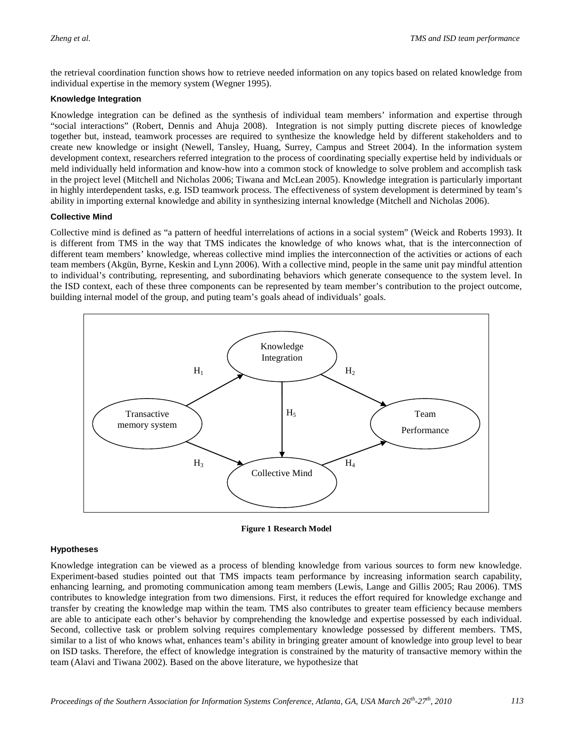the retrieval coordination function shows how to retrieve needed information on any topics based on related knowledge from individual expertise in the memory system (Wegner 1995).

#### **Knowledge Integration**

Knowledge integration can be defined as the synthesis of individual team members' information and expertise through "social interactions" (Robert, Dennis and Ahuja 2008). Integration is not simply putting discrete pieces of knowledge together but, instead, teamwork processes are required to synthesize the knowledge held by different stakeholders and to create new knowledge or insight (Newell, Tansley, Huang, Surrey, Campus and Street 2004). In the information system development context, researchers referred integration to the process of coordinating specially expertise held by individuals or meld individually held information and know-how into a common stock of knowledge to solve problem and accomplish task in the project level (Mitchell and Nicholas 2006; Tiwana and McLean 2005). Knowledge integration is particularly important in highly interdependent tasks, e.g. ISD teamwork process. The effectiveness of system development is determined by team's ability in importing external knowledge and ability in synthesizing internal knowledge (Mitchell and Nicholas 2006).

#### **Collective Mind**

Collective mind is defined as "a pattern of heedful interrelations of actions in a social system" (Weick and Roberts 1993). It is different from TMS in the way that TMS indicates the knowledge of who knows what, that is the interconnection of different team members' knowledge, whereas collective mind implies the interconnection of the activities or actions of each team members (Akgün, Byrne, Keskin and Lynn 2006). With a collective mind, people in the same unit pay mindful attention to individual's contributing, representing, and subordinating behaviors which generate consequence to the system level. In the ISD context, each of these three components can be represented by team member's contribution to the project outcome, building internal model of the group, and puting team's goals ahead of individuals' goals.



**Figure 1 Research Model**

#### **Hypotheses**

Knowledge integration can be viewed as a process of blending knowledge from various sources to form new knowledge. Experiment-based studies pointed out that TMS impacts team performance by increasing information search capability, enhancing learning, and promoting communication among team members (Lewis, Lange and Gillis 2005; Rau 2006). TMS contributes to knowledge integration from two dimensions. First, it reduces the effort required for knowledge exchange and transfer by creating the knowledge map within the team. TMS also contributes to greater team efficiency because members are able to anticipate each other's behavior by comprehending the knowledge and expertise possessed by each individual. Second, collective task or problem solving requires complementary knowledge possessed by different members. TMS, similar to a list of who knows what, enhances team's ability in bringing greater amount of knowledge into group level to bear on ISD tasks. Therefore, the effect of knowledge integration is constrained by the maturity of transactive memory within the team (Alavi and Tiwana 2002). Based on the above literature, we hypothesize that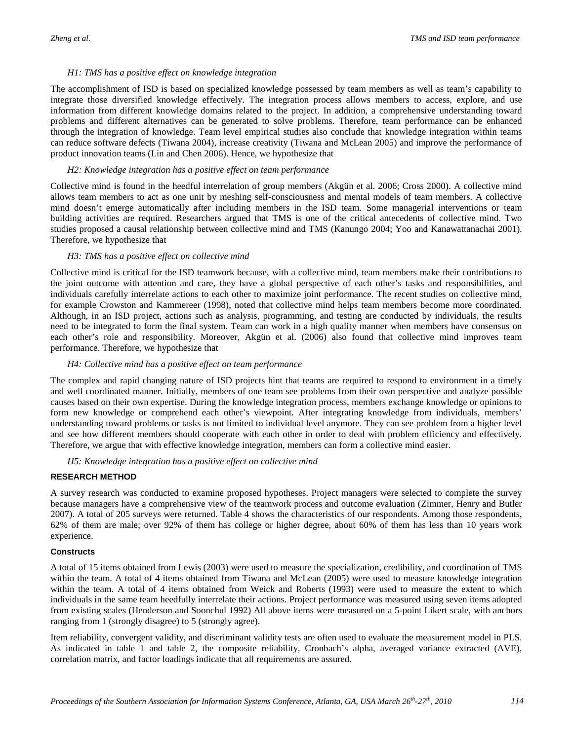#### *H1: TMS has a positive effect on knowledge integration*

The accomplishment of ISD is based on specialized knowledge possessed by team members as well as team's capability to integrate those diversified knowledge effectively. The integration process allows members to access, explore, and use information from different knowledge domains related to the project. In addition, a comprehensive understanding toward problems and different alternatives can be generated to solve problems. Therefore, team performance can be enhanced through the integration of knowledge. Team level empirical studies also conclude that knowledge integration within teams can reduce software defects (Tiwana 2004), increase creativity (Tiwana and McLean 2005) and improve the performance of product innovation teams (Lin and Chen 2006). Hence, we hypothesize that

#### *H2: Knowledge integration has a positive effect on team performance*

Collective mind is found in the heedful interrelation of group members (Akgün et al. 2006; Cross 2000). A collective mind allows team members to act as one unit by meshing self-consciousness and mental models of team members. A collective mind doesn't emerge automatically after including members in the ISD team. Some managerial interventions or team building activities are required. Researchers argued that TMS is one of the critical antecedents of collective mind. Two studies proposed a causal relationship between collective mind and TMS (Kanungo 2004; Yoo and Kanawattanachai 2001). Therefore, we hypothesize that

#### *H3: TMS has a positive effect on collective mind*

Collective mind is critical for the ISD teamwork because, with a collective mind, team members make their contributions to the joint outcome with attention and care, they have a global perspective of each other's tasks and responsibilities, and individuals carefully interrelate actions to each other to maximize joint performance. The recent studies on collective mind, for example Crowston and Kammereer (1998), noted that collective mind helps team members become more coordinated. Although, in an ISD project, actions such as analysis, programming, and testing are conducted by individuals, the results need to be integrated to form the final system. Team can work in a high quality manner when members have consensus on each other's role and responsibility. Moreover, Akgün et al. (2006) also found that collective mind improves team performance. Therefore, we hypothesize that

#### *H4: Collective mind has a positive effect on team performance*

The complex and rapid changing nature of ISD projects hint that teams are required to respond to environment in a timely and well coordinated manner. Initially, members of one team see problems from their own perspective and analyze possible causes based on their own expertise. During the knowledge integration process, members exchange knowledge or opinions to form new knowledge or comprehend each other's viewpoint. After integrating knowledge from individuals, members' understanding toward problems or tasks is not limited to individual level anymore. They can see problem from a higher level and see how different members should cooperate with each other in order to deal with problem efficiency and effectively. Therefore, we argue that with effective knowledge integration, members can form a collective mind easier.

*H5: Knowledge integration has a positive effect on collective mind* 

#### **RESEARCH METHOD**

A survey research was conducted to examine proposed hypotheses. Project managers were selected to complete the survey because managers have a comprehensive view of the teamwork process and outcome evaluation (Zimmer, Henry and Butler 2007). A total of 205 surveys were returned. Table 4 shows the characteristics of our respondents. Among those respondents, 62% of them are male; over 92% of them has college or higher degree, about 60% of them has less than 10 years work experience.

#### **Constructs**

A total of 15 items obtained from Lewis (2003) were used to measure the specialization, credibility, and coordination of TMS within the team. A total of 4 items obtained from Tiwana and McLean (2005) were used to measure knowledge integration within the team. A total of 4 items obtained from Weick and Roberts (1993) were used to measure the extent to which individuals in the same team heedfully interrelate their actions. Project performance was measured using seven items adopted from existing scales (Henderson and Soonchul 1992) All above items were measured on a 5-point Likert scale, with anchors ranging from 1 (strongly disagree) to 5 (strongly agree).

Item reliability, convergent validity, and discriminant validity tests are often used to evaluate the measurement model in PLS. As indicated in table 1 and table 2, the composite reliability, Cronbach's alpha, averaged variance extracted (AVE), correlation matrix, and factor loadings indicate that all requirements are assured.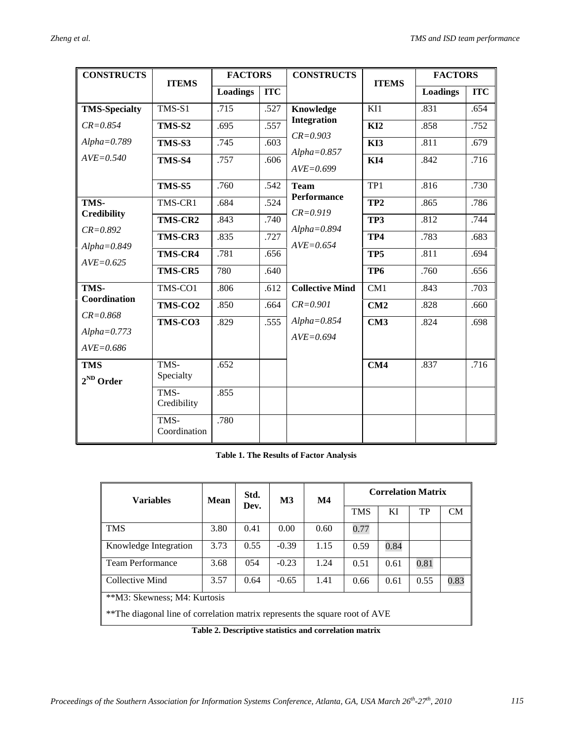| <b>CONSTRUCTS</b>                                                              | <b>ITEMS</b>                          | <b>FACTORS</b>  |            | <b>CONSTRUCTS</b>                  | <b>ITEMS</b>     | <b>FACTORS</b>  |            |
|--------------------------------------------------------------------------------|---------------------------------------|-----------------|------------|------------------------------------|------------------|-----------------|------------|
|                                                                                |                                       | <b>Loadings</b> | <b>ITC</b> |                                    |                  | <b>Loadings</b> | <b>ITC</b> |
| <b>TMS-Specialty</b>                                                           | TMS-S1                                | .715            | .527       | <b>Knowledge</b>                   | $\overline{K11}$ | .831            | .654       |
| $CR = 0.854$                                                                   | TMS-S2                                | .695            | .557       | <b>Integration</b>                 | KI2              | .858            | .752       |
| $Alpha = 0.789$                                                                | <b>TMS-S3</b>                         | .745            | .603       | $CR = 0.903$                       | KI3              | .811            | .679       |
| $AVE = 0.540$                                                                  | TMS-S4                                | .757            | .606       | $Alpha = 0.857$<br>$AVE = 0.699$   | KI4              | .842            | .716       |
|                                                                                | .760<br>TMS-S5<br>.542<br><b>Team</b> |                 |            | TP1                                | .816             | .730            |            |
| TMS-<br><b>Credibility</b><br>$CR = 0.892$<br>$Alpha = 0.849$<br>$AVE = 0.625$ | TMS-CR1                               | .684            | .524       | <b>Performance</b><br>$CR = 0.919$ | TP <sub>2</sub>  | .865            | .786       |
|                                                                                | TMS-CR2                               | .843            | .740       | $Alpha = 0.894$                    | TP3              | .812            | .744       |
|                                                                                | <b>TMS-CR3</b>                        | .835            | .727       | $AVE = 0.654$                      | TP4              | .783            | .683       |
|                                                                                | TMS-CR4                               | .781            | .656       |                                    | TP <sub>5</sub>  | .811            | .694       |
|                                                                                | TMS-CR5                               | 780             | .640       |                                    | TP <sub>6</sub>  | .760            | .656       |
| TMS-<br>Coordination                                                           | TMS-CO1                               | .806            | $-612$     | <b>Collective Mind</b>             | CM1              | .843            | .703       |
|                                                                                | TMS-CO <sub>2</sub>                   | .850            | .664       | $CR = 0.901$                       | CM2              | .828            | .660       |
| $CR = 0.868$                                                                   | TMS-CO3                               | .829            | .555       | $Alpha = 0.854$                    | CM3              | .824            | .698       |
| $Alpha = 0.773$<br>$AVE = 0.686$                                               |                                       |                 |            | $AVE = 0.694$                      |                  |                 |            |
| <b>TMS</b><br>$2^{ND}$ Order                                                   | TMS-<br>Specialty                     | .652            |            |                                    | CM4              | .837            | .716       |
|                                                                                | TMS-<br>Credibility                   | .855            |            |                                    |                  |                 |            |
|                                                                                | TMS-<br>Coordination                  | .780            |            |                                    |                  |                 |            |

**Table 1. The Results of Factor Analysis**

| <b>Variables</b>                                                             | Mean | Std.<br>Dev. | M3      | $\mathbf{M}4$ | <b>Correlation Matrix</b> |      |      |           |  |  |
|------------------------------------------------------------------------------|------|--------------|---------|---------------|---------------------------|------|------|-----------|--|--|
|                                                                              |      |              |         |               | <b>TMS</b>                | KI   | TP   | <b>CM</b> |  |  |
| <b>TMS</b>                                                                   | 3.80 | 0.41         | 0.00    | 0.60          | 0.77                      |      |      |           |  |  |
| Knowledge Integration                                                        | 3.73 | 0.55         | $-0.39$ | 1.15          | 0.59                      | 0.84 |      |           |  |  |
| <b>Team Performance</b>                                                      | 3.68 | 054          | $-0.23$ | 1.24          | 0.51                      | 0.61 | 0.81 |           |  |  |
| Collective Mind                                                              | 3.57 | 0.64         | $-0.65$ | 1.41          | 0.66                      | 0.61 | 0.55 | 0.83      |  |  |
| **M3: Skewness; M4: Kurtosis                                                 |      |              |         |               |                           |      |      |           |  |  |
| ** The diagonal line of correlation matrix represents the square root of AVE |      |              |         |               |                           |      |      |           |  |  |

**Table 2. Descriptive statistics and correlation matrix**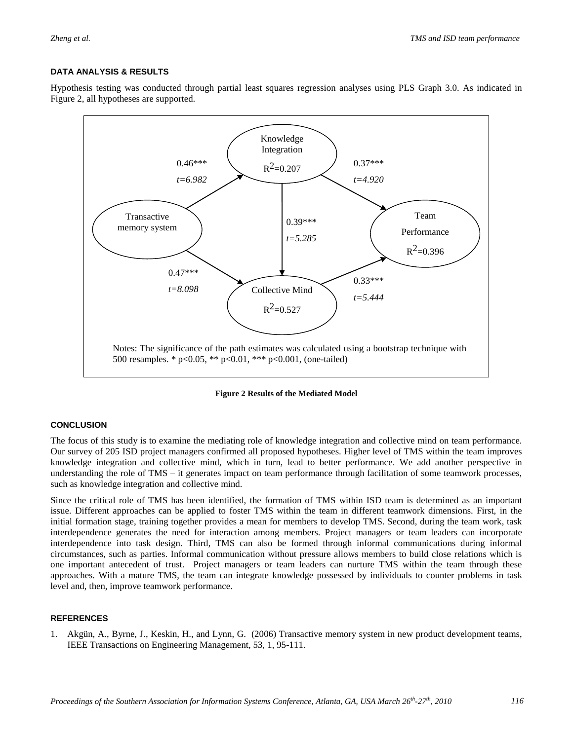#### **DATA ANALYSIS & RESULTS**

Hypothesis testing was conducted through partial least squares regression analyses using PLS Graph 3.0. As indicated in Figure 2, all hypotheses are supported.



**Figure 2 Results of the Mediated Model**

#### **CONCLUSION**

The focus of this study is to examine the mediating role of knowledge integration and collective mind on team performance. Our survey of 205 ISD project managers confirmed all proposed hypotheses. Higher level of TMS within the team improves knowledge integration and collective mind, which in turn, lead to better performance. We add another perspective in understanding the role of TMS – it generates impact on team performance through facilitation of some teamwork processes, such as knowledge integration and collective mind.

Since the critical role of TMS has been identified, the formation of TMS within ISD team is determined as an important issue. Different approaches can be applied to foster TMS within the team in different teamwork dimensions. First, in the initial formation stage, training together provides a mean for members to develop TMS. Second, during the team work, task interdependence generates the need for interaction among members. Project managers or team leaders can incorporate interdependence into task design. Third, TMS can also be formed through informal communications during informal circumstances, such as parties. Informal communication without pressure allows members to build close relations which is one important antecedent of trust. Project managers or team leaders can nurture TMS within the team through these approaches. With a mature TMS, the team can integrate knowledge possessed by individuals to counter problems in task level and, then, improve teamwork performance.

#### **REFERENCES**

1. Akgün, A., Byrne, J., Keskin, H., and Lynn, G. (2006) Transactive memory system in new product development teams, IEEE Transactions on Engineering Management, 53, 1, 95-111.